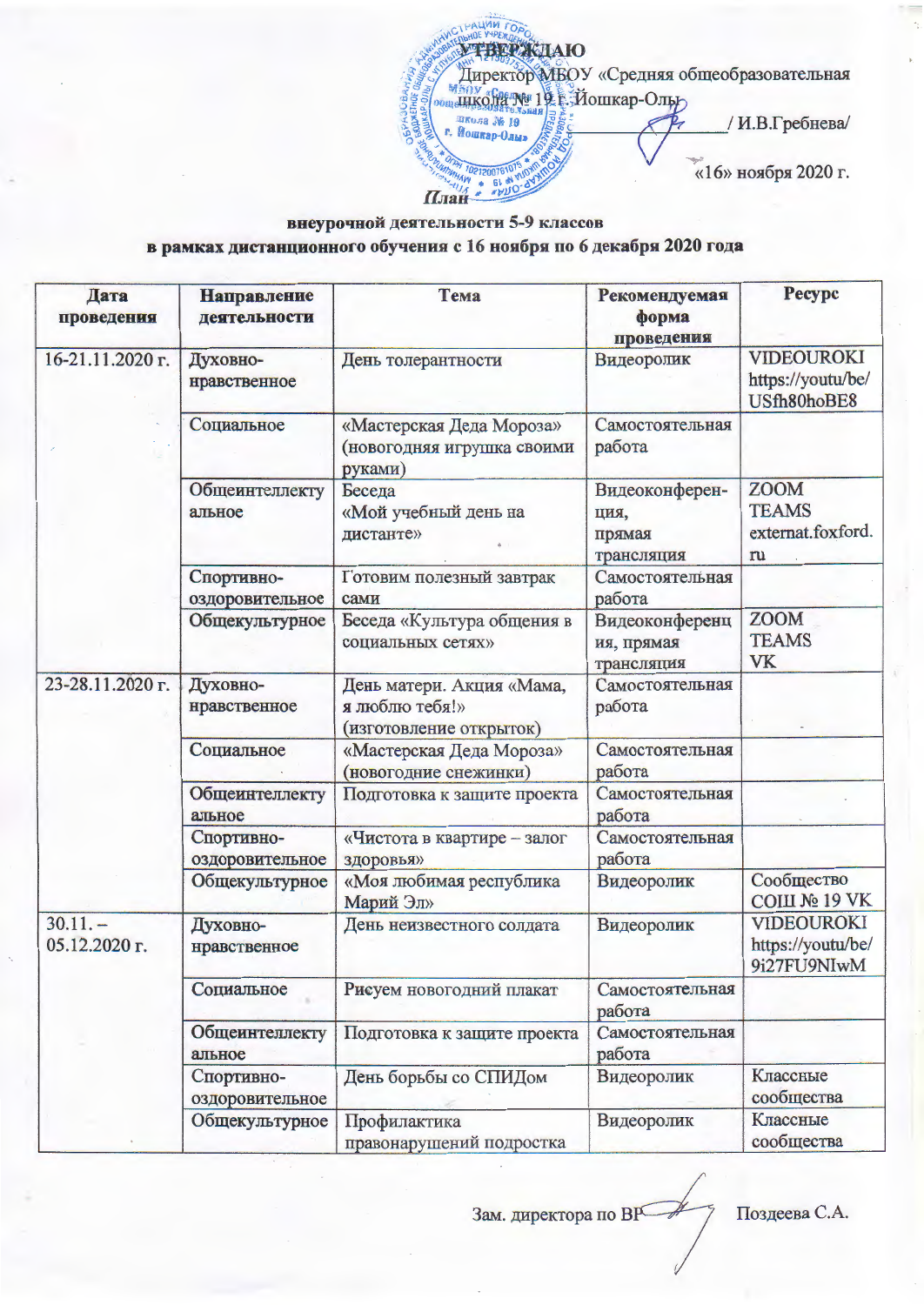PALLAM TOA **УТВЕРЖДАЮ** Директор МБОУ «Средняя общеобразовательная SUKOJA NG 19 E-Йошкар-Ольр школа № 19 / И.В.Гребнева/ «16» ноября 2020 г. A BL W VION 021200761 План

## внеурочной деятельности 5-9 классов в рамках дистанционного обучения с 16 ноября по 6 декабря 2020 года

| Дата<br>проведения         | <b>Направление</b><br>деятельности | Тема                                                                   | Рекомендуемая<br>форма<br>проведения           | <b>Pecypc</b>                                          |
|----------------------------|------------------------------------|------------------------------------------------------------------------|------------------------------------------------|--------------------------------------------------------|
| 16-21.11.2020 г.           | Духовно-<br>нравственное           | День толерантности                                                     | Видеоролик                                     | <b>VIDEOUROKI</b><br>https://youtu/be/<br>USfh80hoBE8  |
|                            | Социальное                         | «Мастерская Деда Мороза»<br>(новогодняя игрушка своими<br>руками)      | Самостоятельная<br>работа                      |                                                        |
|                            | Общеинтеллекту<br>альное           | Беседа<br>«Мой учебный день на<br>дистанте»                            | Видеоконферен-<br>ция,<br>прямая<br>трансляция | <b>ZOOM</b><br><b>TEAMS</b><br>externat.foxford.<br>ru |
|                            | Спортивно-<br>оздоровительное      | Готовим полезный завтрак<br>сами                                       | Самостоятельная<br>работа                      |                                                        |
|                            | Общекультурное                     | Беседа «Культура общения в<br>социальных сетях»                        | Видеоконференц<br>ия, прямая<br>трансляция     | <b>ZOOM</b><br><b>TEAMS</b><br>VK                      |
| 23-28.11.2020 г.           | Духовно-<br>нравственное           | День матери. Акция «Мама,<br>я люблю тебя!»<br>(изготовление открыток) | Самостоятельная<br>работа                      |                                                        |
|                            | Социальное                         | «Мастерская Деда Мороза»<br>(новогодние снежинки)                      | Самостоятельная<br>работа                      |                                                        |
|                            | Общеинтеллекту<br>альное           | Подготовка к защите проекта                                            | Самостоятельная<br>работа                      |                                                        |
|                            | Спортивно-<br>оздоровительное      | «Чистота в квартире - залог<br>здоровья»                               | Самостоятельная<br>работа                      |                                                        |
|                            | Общекультурное                     | «Моя любимая республика<br>Марий Эл»                                   | Видеоролик                                     | Сообщество<br><b>СОШ № 19 VK</b>                       |
| $30.11 -$<br>05.12.2020 г. | Духовно-<br>нравственное           | День неизвестного солдата                                              | Видеоролик                                     | VIDEOUROKI<br>https://youtu/be/<br>9i27FU9NIwM         |
|                            | Социальное                         | Рисуем новогодний плакат                                               | Самостоятельная<br>работа                      |                                                        |
|                            | Общеинтеллекту<br>альное           | Подготовка к защите проекта                                            | Самостоятельная<br>работа                      |                                                        |
|                            | Спортивно-<br>оздоровительное      | День борьбы со СПИДом                                                  | Видеоролик                                     | Классные<br>сообщества                                 |
|                            | Общекультурное                     | Профилактика<br>правонарушений подростка                               | Видеоролик                                     | Классные<br>сообщества                                 |

Зам. директора по ВР

Поздеева С.А.